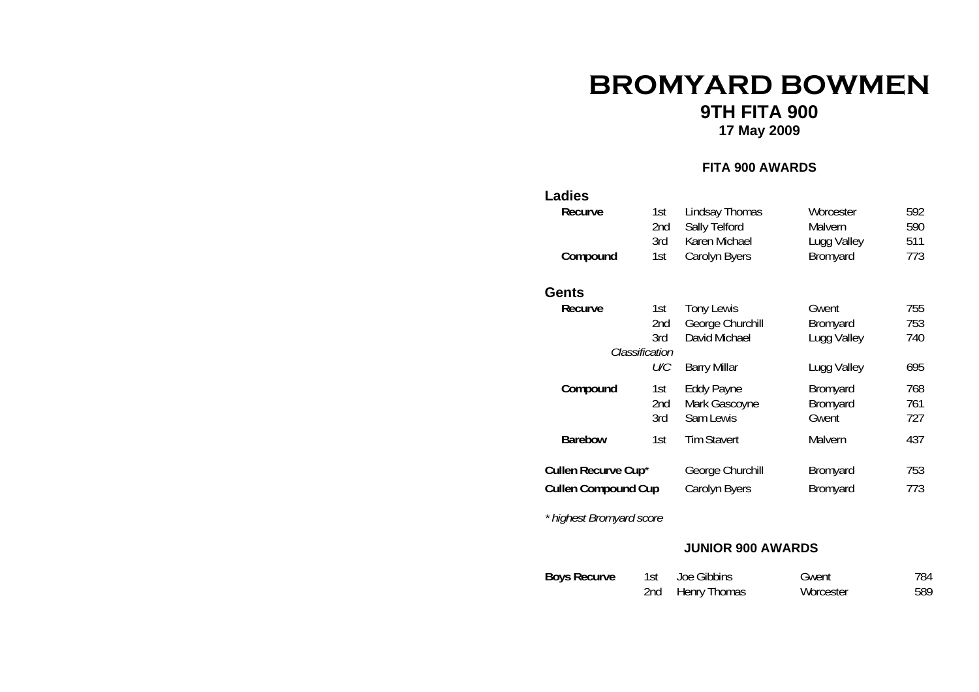# **BROMYARD BOWMEN**

# **9TH FITA 900**

**17 May 2009**

#### **FITA 900 AWARDS**

# **Ladies Recurve** 1st Lindsay Thomas Worcester 592<br>2nd Sally Telford Malvern 590 20 Sally Telford Malvern 590<br>1210 Karen Michael Lugg Valley 511 3rd Karen Michael Lugg Valley 511<br>1st Carolyn Byers Bromyard 773 **Compound** 1st Carolyn Byers **GentsRecurve** 1st Tony Lewis Gwent 755<br>2nd George Churchill Bromyard 753 2012 George Churchill Bromyard 753<br>David Michael Lugg Valley 740 3rd David Michael Lugg Valley *Classification U/C* Barry Millar Lugg Valley 695 **Compound** 1st Eddy Payne Bromyard 768<br>
2nd Mark Gascoyne Bromyard 761 Mark Gascoyne Bromyard 761<br>
2011 Sam Lewis Gwent 727 3rd Sam Lewis Gwent **Barebow** 1st Tim Stavert Malvern 437 **Cullen Recurve Cup**<sup>\*</sup> George Churchill Bromyard 753 **Cullen Compound Cup** Carolyn Byers Bromyard 773

*\* highest Bromyard score* 

#### **JUNIOR 900 AWARDS**

| <b>Boys Recurve</b> | 1st Joe Gibbins  | Gwent     | 784 |
|---------------------|------------------|-----------|-----|
|                     | 2nd Henry Thomas | Worcester | 589 |